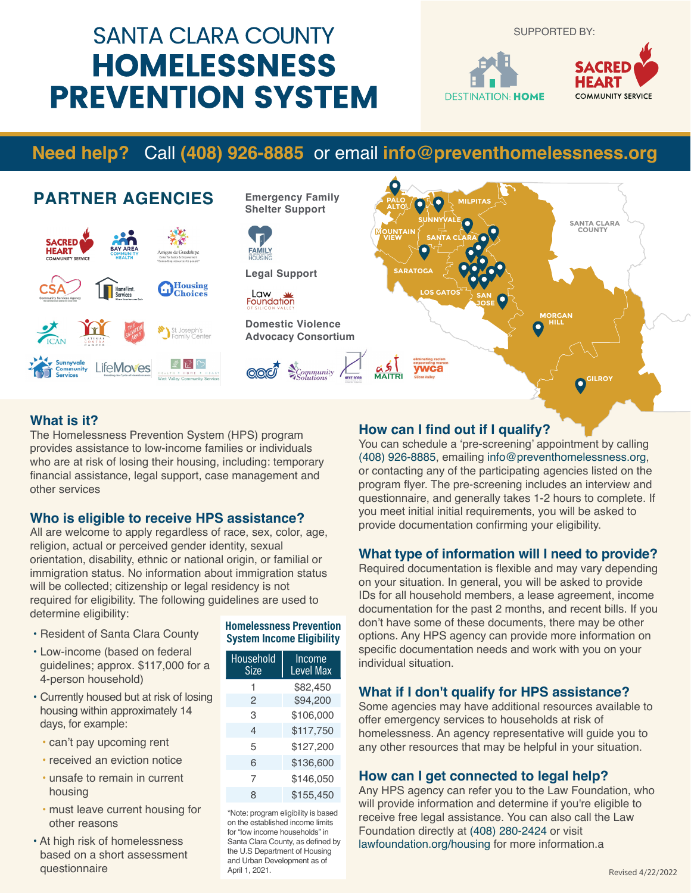# **SANTA CLARA COUNTY HOMELESSNESS PREVENTION SYSTEM**

SUPPORTED BY:



# **Need help?** Call **(408) 926-8885** or email **info@preventhomelessness.org**



#### **What is it?**

The Homelessness Prevention System (HPS) program provides assistance to low-income families or individuals who are at risk of losing their housing, including: temporary financial assistance, legal support, case management and other services

#### **Who is eligible to receive HPS assistance?**

All are welcome to apply regardless of race, sex, color, age, religion, actual or perceived gender identity, sexual orientation, disability, ethnic or national origin, or familial or immigration status. No information about immigration status will be collected; citizenship or legal residency is not required for eligibility. The following guidelines are used to determine eligibility:

- Resident of Santa Clara County
- Low-income (based on federal guidelines; approx. \$117,000 for a 4-person household)
- Currently housed but at risk of losing housing within approximately 14 days, for example:
- can't pay upcoming rent
- received an eviction notice
- unsafe to remain in current housing
- must leave current housing for other reasons
- At high risk of homelessness based on a short assessment questionnaire

#### **Homelessness Prevention System Income Eligibility**

| Household<br>Size | Income<br><b>Level Max</b> |
|-------------------|----------------------------|
| 1                 | \$82,450                   |
| 2                 | \$94,200                   |
| З                 | \$106,000                  |
| 4                 | \$117,750                  |
| 5                 | \$127,200                  |
| 6                 | \$136,600                  |
| 7                 | \$146,050                  |
| 8                 | \$155,450                  |

\*Note: program eligibility is based on the established income limits for "low income households" in Santa Clara County, as defined by the U.S Department of Housing and Urban Development as of April 1, 2021.

#### **How can I find out if I qualify?**

You can schedule a 'pre-screening' appointment by calling (408) 926-8885, emailing info@preventhomelessness.org, or contacting any of the participating agencies listed on the program flyer. The pre-screening includes an interview and questionnaire, and generally takes 1-2 hours to complete. If you meet initial initial requirements, you will be asked to provide documentation confirming your eligibility.

#### **What type of information will I need to provide?**

Required documentation is flexible and may vary depending on your situation. In general, you will be asked to provide IDs for all household members, a lease agreement, income documentation for the past 2 months, and recent bills. If you don't have some of these documents, there may be other options. Any HPS agency can provide more information on specific documentation needs and work with you on your individual situation.

#### **What if I don't qualify for HPS assistance?**

Some agencies may have additional resources available to offer emergency services to households at risk of homelessness. An agency representative will guide you to any other resources that may be helpful in your situation.

#### **How can I get connected to legal help?**

Any HPS agency can refer you to the Law Foundation, who will provide information and determine if you're eligible to receive free legal assistance. You can also call the Law Foundation directly at (408) 280-2424 or visit lawfoundation.org/housing for more information.a